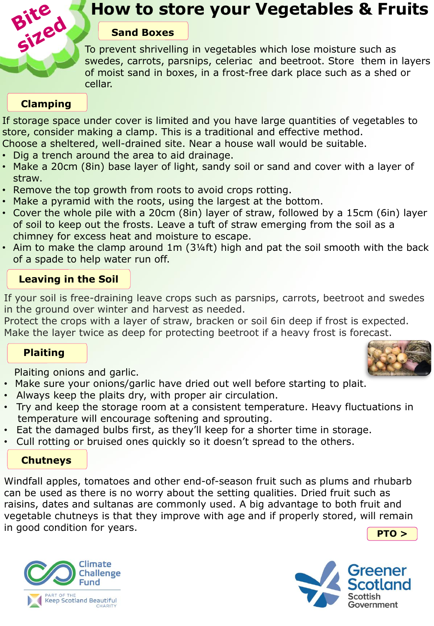

## **How to store your Vegetables & Fruits**

#### **Sand Boxes**

To prevent shrivelling in vegetables which lose moisture such as swedes, carrots, parsnips, celeriac and beetroot. Store them in layers of moist sand in boxes, in a frost-free dark place such as a shed or cellar.

## **Clamping**

If storage space under cover is limited and you have large quantities of vegetables to store, consider making a clamp. This is a traditional and effective method. Choose a sheltered, well-drained site. Near a house wall would be suitable.

- Dig a trench around the area to aid drainage.
- Make a 20cm (8in) base layer of light, sandy soil or sand and cover with a layer of straw.
- Remove the top growth from roots to avoid crops rotting.
- Make a pyramid with the roots, using the largest at the bottom.
- Cover the whole pile with a 20cm (8in) layer of straw, followed by a 15cm (6in) layer of soil to keep out the frosts. Leave a tuft of straw emerging from the soil as a chimney for excess heat and moisture to escape.
- Aim to make the clamp around 1m (3¼ft) high and pat the soil smooth with the back of a spade to help water run off.

## **Leaving in the Soil**

If your soil is free-draining leave crops such as parsnips, carrots, beetroot and swedes in the ground over winter and harvest as needed.

Protect the crops with a layer of straw, bracken or soil 6in deep if frost is expected. Make the layer twice as deep for protecting beetroot if a heavy frost is forecast.

#### **Plaiting**

Plaiting onions and garlic.

- **A** Make sure your onions/garlic have dried out well before starting to plait.
- Always keep the plaits dry, with proper air circulation.
- Try and keep the storage room at a consistent temperature. Heavy fluctuations in temperature will encourage softening and sprouting. temperature will encourage softening and sprouting.
- Eat the damaged bulbs first, as they'll keep for a shorter time in storage.
- Cull rotting or bruised ones quickly so it doesn't spread to the others.

#### **Chutneys**

raisins, dates and suitanas are commonly used. A big advantage to both mult and<br>vegetable chutneys is that they improve with age and if properly stored, will remain **PTO >** Windfall apples, tomatoes and other end-of-season fruit such as plums and rhubarb can be used as there is no worry about the setting qualities. Dried fruit such as raisins, dates and sultanas are commonly used. A big advantage to both fruit and in good condition for years.